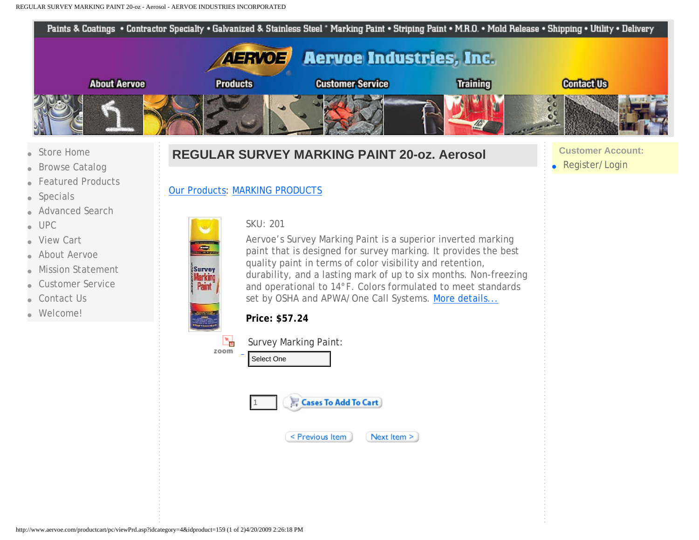Paints & Coatings . Contractor Specialty . Galvanized & Stainless Steel \* Marking Paint . Striping Paint . M.R.O. . Mold Release . Shipping . Utility . Delivery **AERVOE Aervoe Industries, Inc. About Aervoe Products** Training **Contact Us Customer Service**  $\frac{c}{c}$ [Store Home](http://www.aervoe.com/productcart/pc/default.asp) **Customer Account:**

- <span id="page-0-0"></span>**[Browse Catalog](http://www.aervoe.com/productcart/pc/viewcategories.asp)**
- **[Featured Products](http://www.aervoe.com/productcart/pc/home.asp)**
- **[Specials](http://www.aervoe.com/productcart/pc/showspecials.asp)**
- **[Advanced Search](http://www.aervoe.com/productcart/pc/search.asp)**
- [UPC](http://www.aervoe.com/productcart/pc/UPC/UPC_Products.asp)
- **[View Cart](http://www.aervoe.com/productcart/pc/viewcart.asp)**
- [About Aervoe](http://www.aervoe.com/productcart/pc/viewcontent.asp?idpage=1)
- **[Mission Statement](http://www.aervoe.com/productcart/pc/viewcontent.asp?idpage=2)**
- [Customer Service](http://www.aervoe.com/productcart/pc/viewcontent.asp?idpage=3)
- [Contact Us](http://www.aervoe.com/productcart/pc/viewcontent.asp?idpage=4)
- [Welcome!](http://www.aervoe.com/productcart/pc/viewcontent.asp?idpage=5)

## **REGULAR SURVEY MARKING PAINT 20-oz. Aerosol**

● [Register/Login](http://www.aervoe.com/productcart/pc/custPref.asp)

### [Our Products:](http://www.aervoe.com/productcart/pc/viewCategories.asp) [MARKING PRODUCTS](http://www.aervoe.com/productcart/pc/viewCategories.asp?idCategory=4)



Aervoe's Survey Marking Paint is a superior inverted marking paint that is designed for survey marking. It provides the best quality paint in terms of color visibility and retention, durability, and a lasting mark of up to six months. Non-freezing and operational to 14°F. Colors formulated to meet standards set by OSHA and APWA/One Call Systems. [More details...](#page-1-0)

| Pr           |
|--------------|
| $\mathsf{S}$ |
|              |

2

Survey Marking<br>Paint

# **Price: \$57.24**







#### Next Item >

Select One<br>  $\frac{1}{\sqrt{2\pi}}$ <br>  $\frac{1}{\sqrt{2\pi}}$ <br>  $\frac{1}{\sqrt{2\pi}}$ <br>  $\frac{1}{\sqrt{2\pi}}$ <br>  $\frac{1}{\sqrt{2\pi}}$ <br>  $\frac{1}{\sqrt{2\pi}}$ <br>  $\frac{1}{\sqrt{2\pi}}$ <br>  $\frac{1}{\sqrt{2\pi}}$ <br>  $\frac{1}{\sqrt{2\pi}}$ <br>  $\frac{1}{\sqrt{2\pi}}$ <br>  $\frac{1}{\sqrt{2\pi}}$ <br>  $\frac{1}{\sqrt{2\pi}}$ <br>  $\frac{1}{\sqrt{2\pi}}$ <br>